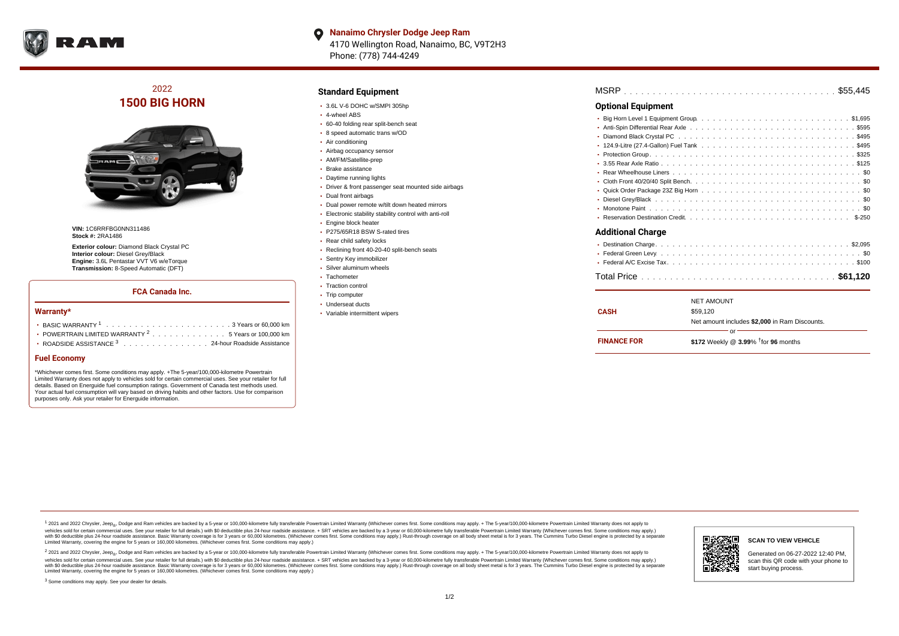

**Nanaimo Chrysler Dodge Jeep Ram**  $\bullet$ 4170 Wellington Road, Nanaimo, BC, V9T2H3 Phone: (778) 744-4249

# 2022 **1500 BIG HORN**



**VIN:** 1C6RRFBG0NN311486 **Stock #:** 2RA1486

**Exterior colour:** Diamond Black Crystal PC **Interior colour:** Diesel Grey/Black **Engine:** 3.6L Pentastar VVT V6 w/eTorque **Transmission:** 8-Speed Automatic (DFT)

### **FCA Canada Inc.**

#### **Warranty\***

| • POWERTRAIN LIMITED WARRANTY $2, \ldots, \ldots, \ldots, \ldots, 5$ Years or 100,000 km |
|------------------------------------------------------------------------------------------|
| • ROADSIDE ASSISTANCE 3 24-hour Roadside Assistance                                      |

#### **Fuel Economy**

\*Whichever comes first. Some conditions may apply. +The 5-year/100,000-kilometre Powertrain Limited Warranty does not apply to vehicles sold for certain commercial uses. See your retailer for full details. Based on Energuide fuel consumption ratings. Government of Canada test methods used. Your actual fuel consumption will vary based on driving habits and other factors. Use for comparison purposes only. Ask your retailer for Energuide information.

## **Standard Equipment**

- 3.6L V-6 DOHC w/SMPI 305hp
- 4-wheel ABS
- 60-40 folding rear split-bench seat
- 8 speed automatic trans w/OD
- Air conditioning
- Airbag occupancy sensor AM/FM/Satellite-prep
- 
- Brake assistance
- Daytime running lights Driver & front passenger seat mounted side airbags
- 
- Dual front airbags
- Dual power remote w/tilt down heated mirrors Electronic stability stability control with anti-roll
- **Engine block heater**
- 
- P275/65R18 BSW S-rated tires
- Rear child safety locks
- Reclining front 40-20-40 split-bench seats Sentry Key immobilizer
- 
- Silver aluminum wheels Tachometer
- 
- Traction control • Trip computer
- Underseat ducts
- Variable intermittent wipers

| <b>MSRP</b> |  |  |  |  |  |  |  |  |  |  |  |  |  |  |  |  |  |  |  |  |  |  |  |  |  |  |  |  |  |  |  |  |  |  |  |  |  |  |  |
|-------------|--|--|--|--|--|--|--|--|--|--|--|--|--|--|--|--|--|--|--|--|--|--|--|--|--|--|--|--|--|--|--|--|--|--|--|--|--|--|--|
|-------------|--|--|--|--|--|--|--|--|--|--|--|--|--|--|--|--|--|--|--|--|--|--|--|--|--|--|--|--|--|--|--|--|--|--|--|--|--|--|--|

### **Optional Equipment**

| <b>Additional Charge</b> |  |
|--------------------------|--|
|                          |  |
|                          |  |
|                          |  |
|                          |  |
|                          |  |

| <b>FINANCE FOR</b> | Ωr<br>\$172 Weekly @ $3.99\%$ <sup>†</sup> for 96 months |  |
|--------------------|----------------------------------------------------------|--|
|                    | Net amount includes \$2.000 in Ram Discounts.            |  |
| <b>CASH</b>        | \$59.120                                                 |  |
|                    | <b>NET AMOUNT</b>                                        |  |

<sup>1</sup> 2021 and 2022 Chrysler, Jeep<sub>®</sub>, Dodge and Ram vehicles are backed by a 5-year or 100,000-kilometre fully transferable Powertrain Limited Warranty (Whichever comes first. Some conditions may apply. + The 5-year/100,000 vehicles sold for certain commercial uses. See your retailer for full details.) with \$0 deductible plus 24 hour roadside assistance. + SRT vehicles are backed by a 3-year or 60,000-kilometre fully transferable Powertrain L versus and contract the mean of the contract of the contract with a contract with a contract the contract of the contract of the contract the contract of the contract of the contract of the contract of the contract of the Limited Warranty, covering the engine for 5 years or 160,000 kilometres. (Whichever comes first. Some conditions may apply.)

2 2021 and 2022 Chrysler, Jeep<sub>®</sub>, Dodge and Ram vehicles are backed by a 5-year or 100,000-kilometre fully transferable Powertrain Limited Warranty (Whichever comes first. Some conditions may apply. + The 5-year/100,000-k vehicles sold for certain commercial uses. See your retailer for full details.) with SO deductible plus 24-hour roadside assistance. + SRT vehicles are backed by a 3-year or 60.000-kilometre fully transferable Powertrain. with S0 deductible plus 24-hour roadside assistance. Basic Warranty coverage is for 3 years or 60,000 kilometres. (Whichever comes first. Some conditions may apply.) Rust-through coverage on all body sheet metal is for 3 y



#### **SCAN TO VIEW VEHICLE**

Generated on 06-27-2022 12:40 PM, scan this QR code with your phone to start buying process.

<sup>3</sup> Some conditions may apply. See your dealer for details.